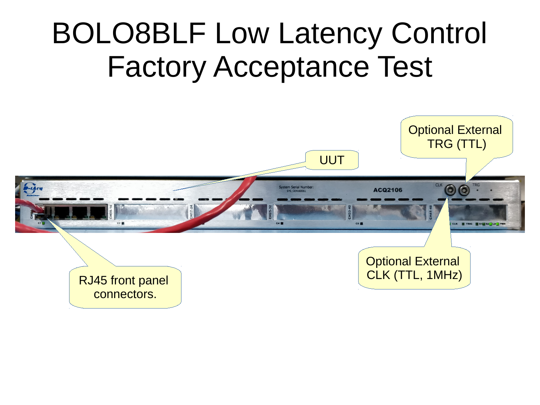## BOLO8BLF Low Latency Control Factory Acceptance Test

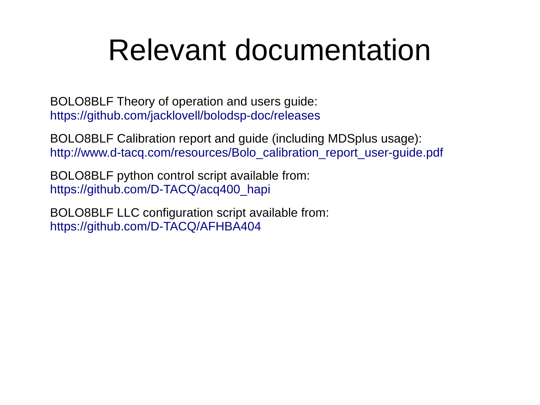### Relevant documentation

BOLO8BLF Theory of operation and users guide: <https://github.com/jacklovell/bolodsp-doc/releases>

BOLO8BLF Calibration report and guide (including MDSplus usage): [http://www.d-tacq.com/resources/Bolo\\_calibration\\_report\\_user-guide.pdf](http://www.d-tacq.com/resources/Bolo_calibration_report_user-guide.pdf)

BOLO8BLF python control script available from: [https://github.com/D-TACQ/acq400\\_hapi](https://github.com/D-TACQ/acq400_hapi)

BOLO8BLF LLC configuration script available from: <https://github.com/D-TACQ/AFHBA404>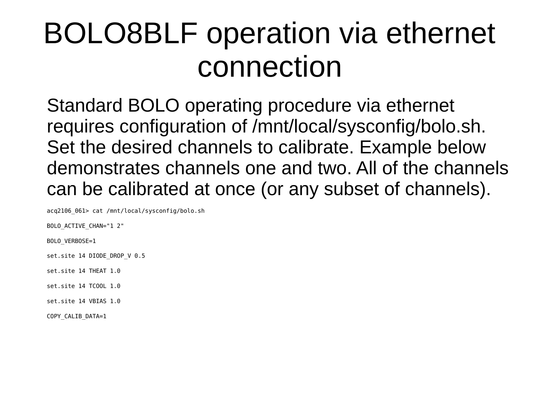### BOLO8BLF operation via ethernet connection

Standard BOLO operating procedure via ethernet requires configuration of /mnt/local/sysconfig/bolo.sh. Set the desired channels to calibrate. Example below demonstrates channels one and two. All of the channels can be calibrated at once (or any subset of channels).

acq2106\_061> cat /mnt/local/sysconfig/bolo.sh

BOLO\_ACTIVE\_CHAN="1 2"

BOLO\_VERBOSE=1

set.site 14 DIODE DROP V 0.5

set.site 14 THEAT 1.0

set.site 14 TCOOL 1.0

set.site 14 VBIAS 1.0

COPY\_CALIB\_DATA=1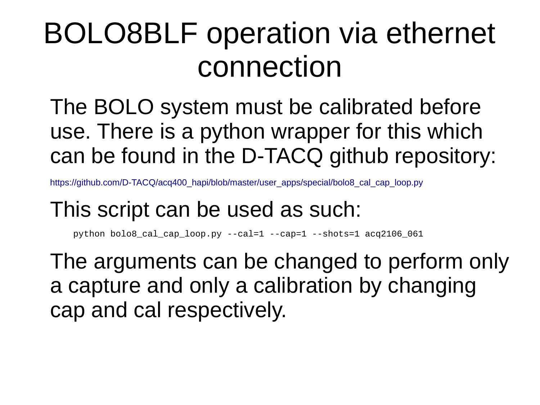### BOLO8BLF operation via ethernet connection

The BOLO system must be calibrated before use. There is a python wrapper for this which can be found in the D-TACQ github repository:

[https://github.com/D-TACQ/acq400\\_hapi/blob/master/user\\_apps/special/bolo8\\_cal\\_cap\\_loop.py](https://github.com/D-TACQ/acq400_hapi/blob/master/user_apps/special/bolo8_cal_cap_loop.py)

#### This script can be used as such:

python bolo8\_cal\_cap\_loop.py --cal=1 --cap=1 --shots=1 acq2106\_061

The arguments can be changed to perform only a capture and only a calibration by changing cap and cal respectively.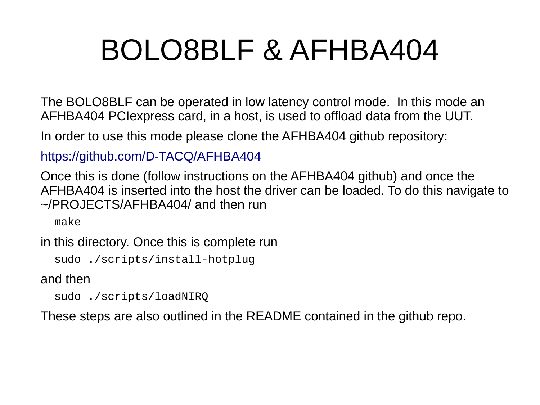### BOLO8BLF & AFHBA404

The BOLO8BLF can be operated in low latency control mode. In this mode an AFHBA404 PCIexpress card, in a host, is used to offload data from the UUT.

In order to use this mode please clone the AFHBA404 github repository:

<https://github.com/D-TACQ/AFHBA404>

Once this is done (follow instructions on the AFHBA404 github) and once the AFHBA404 is inserted into the host the driver can be loaded. To do this navigate to ~/PROJECTS/AFHBA404/ and then run

make

in this directory. Once this is complete run

sudo ./scripts/install-hotplug

and then

sudo ./scripts/loadNIRQ

These steps are also outlined in the README contained in the github repo.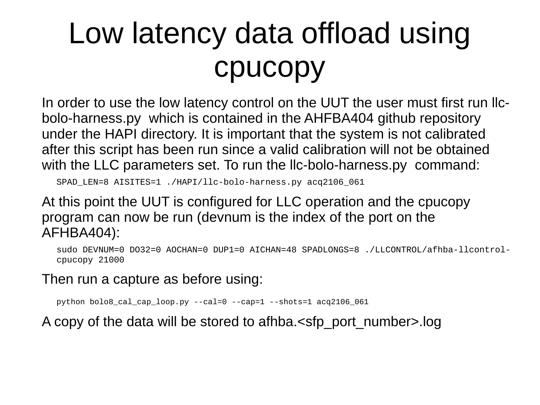# Low latency data offload using cpucopy

In order to use the low latency control on the UUT the user must first run llcbolo-harness.py which is contained in the AHFBA404 github repository under the HAPI directory. It is important that the system is not calibrated after this script has been run since a valid calibration will not be obtained with the LLC parameters set. To run the llc-bolo-harness.py command:

SPAD\_LEN=8 AISITES=1 ./HAPI/llc-bolo-harness.py acq2106\_061

At this point the UUT is configured for LLC operation and the cpucopy program can now be run (devnum is the index of the port on the AFHBA404):

sudo DEVNUM=0 DO32=0 AOCHAN=0 DUP1=0 AICHAN=48 SPADLONGS=8 ./LLCONTROL/afhba-llcontrolcpucopy 21000

Then run a capture as before using:

python bolo8 cal cap loop.py  $-$ -cal=0  $-$ -cap=1  $-$ -shots=1 acq2106 061

A copy of the data will be stored to afhba.<sfp\_port\_number>.log